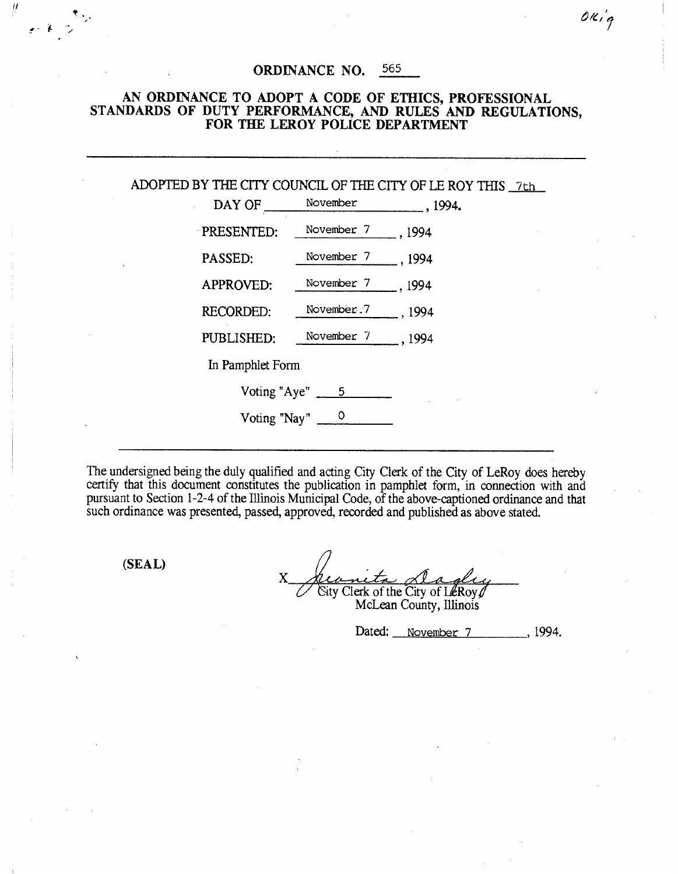## ORDINANCE NO. 565

## AN ORDINANCE TO ADOPT A CODE OF ETHICS, PROFESSIONAL STANDARDS OF DUTY PERFORMANCE, AND RULES AND REGULATIONS, FOR THE LEROY POLICE DEPARTMENT

ADOPTED BY THE CITY COUNCIL OF THE CITY OF LE ROY THIS 7th

| DAY OF             | November   |        |
|--------------------|------------|--------|
| PRESENTED:         | November 7 | . 1994 |
| PASSED:            | November 7 | , 1994 |
| <b>APPROVED:</b>   | November 7 | .1994  |
| <b>RECORDED:</b>   | November 7 | , 1994 |
| PUBLISHED:         | November 7 | .1994  |
| In Pamphlet Form   |            |        |
| Voting "Aye"<br>5. |            |        |
| Voting "Nay"       |            |        |

The undersigned being the duly qualified and acting City Clerk of the City of LeRoy does hereby certify that this document constitutes the publication in pamphlet form, in connection with and pursuant to Section 1-2-4 of the Illinois Municipal Code, of the above-captioned ordinance and that such ordinance was presented, passed, approved, recorded and published as above stated.

(SEAL)

ÿ

X  $\overline{\text{City}}$  Clerk of the City of L $\ell$ Roy

McLean County, Illinois

Dated: November 7 , 1994.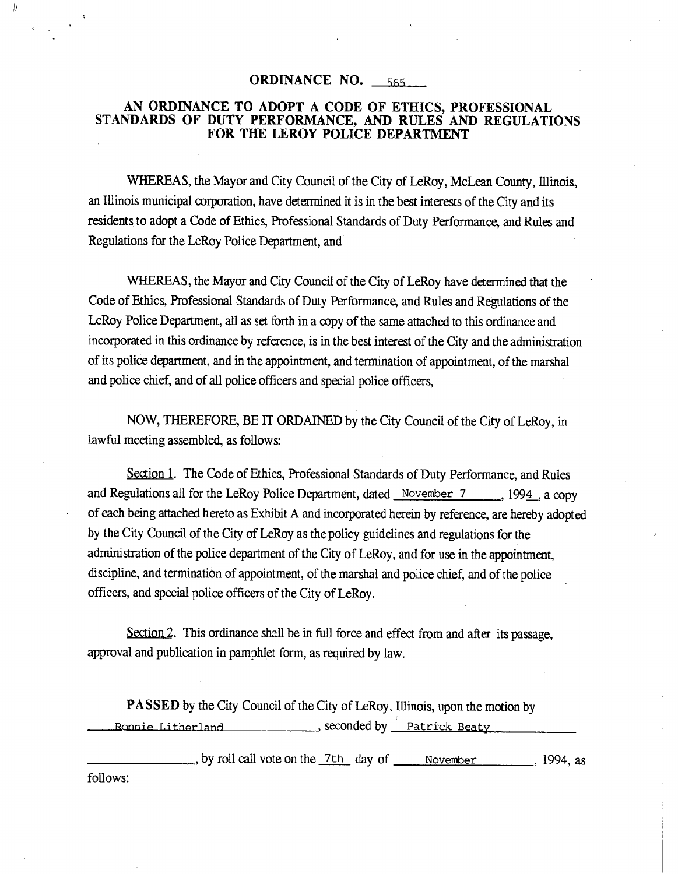## **ORDINANCE NO.** 565

 $\frac{1}{2}$ 

## AN ORDINANCE TO ADOPT A CODE OF ETHICS, PROFESSIONAL STANDARDS OF DUTY PERFORMANCE, AND RULES AND REGULATIONS FOR THE LEROY POLICE DEPARTMENT

WHEREAS, the Mayor and City Council of the City of LeRoy, McLean County, Illinois, an Illinois municipal corporation, have determined it is in the best interests of the City and its residents to adopt a Code of Ethics, Professional Standards of Duty Performance, and Rules and Regulations for the LeRoy Police Department, and

WHEREAS, the Mayor and City Council of the City of LeRoy have determined that the Code of Ethics, Professional Standards of Duty Performance, and Rules and Regulations of the LeRoy Police Department, all as set forth in a copy of the same attached to this ordinance and incorporated in this ordinance by reference, is in the best interest of the City and the administration of its police department, and in the appointment, and termination of appointment, of the marshal and police chief, and of all police officers and special police officers,

NOW, THEREFORE, BE IT ORDAINED by the City Council of the City of LeRoy, in lawful meeting assembled, as follows:

Section 1. The Code of Ethics, Professional Standards of Duty Performance, and Rules and Regulations all for the LeRoy Police Department, dated November 7 , 1994, a copy of each being attached hereto as Exhibit A and incorporated herein by reference, are hereby adopted by the City Council of the City of LeRoy as the policy guidelines and regulations for the administration of the police department of the City of LeRoy, and for use in the appointment, discipline, and termination of appointment, of the marshal and police chief, and of the police officers, and special police officers of the City of LeRoy.

Section 2. This ordinance shall be in full force and effect from and after its passage, approval and publication in pamphlet form, as required by law.

PASSED by the City Council of the City of LeRoy, Illinois, upon the motion by Ronnie Litherland , seconded by Patrick Beaty

by roll call vote on the 7th day of November, 1994, as follows: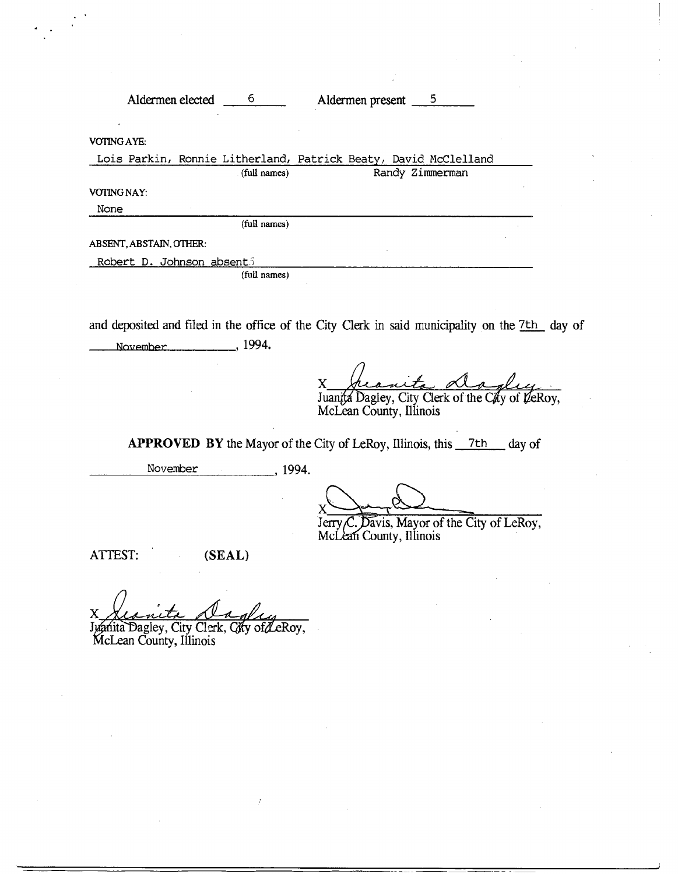Aldermen elected 6 6 Aldermen present 5 VOTING AYE: Lois Parkin, Ronnie Litherland, Patrick Beatv, David McClelland (full names) Randy Zimmerman VOTING NAY: None (full names) ABSENT, ABSTAIN, OTHER: Robert D. Johnson absent; (full names)

and deposited and filed in the office of the City Clerk in said municipality on the 7<sup>th</sup> day of November ,1994.

X heavits death y

McLean County, Illinois

APPROVED BY the Mayor of the City of LeRoy, Illinois, this  $7th$  day of

November 1994.

 $X \longrightarrow Y$ \_k

Jerry  $\mathcal{C}$ . Davis, Mayor of the City of LeRoy, McLean County, Illinois

ATTEST: (SEAL)

r

McLean County, Illinois Juanita Dagley, City Clerk, City of LeRoy,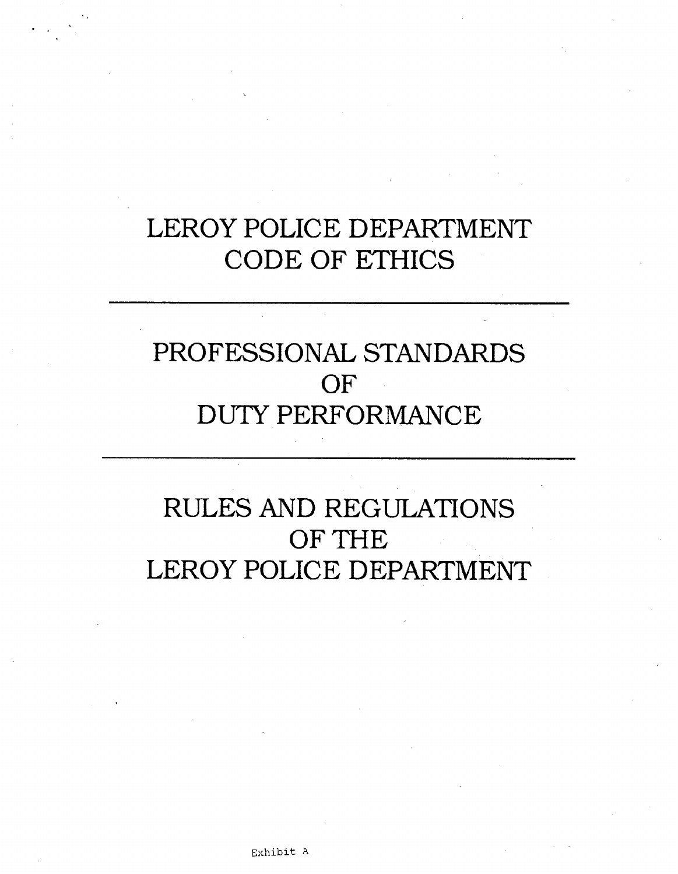# LEROY POLICE DEPARTMENT CODE OF ETHICS

# PROFESSIONAL STANDARDS OF DUTY PERFORMANCE

# RULES AND REGULATIONS OF THE LEROY POLICE DEPARTMENT

Exhibit A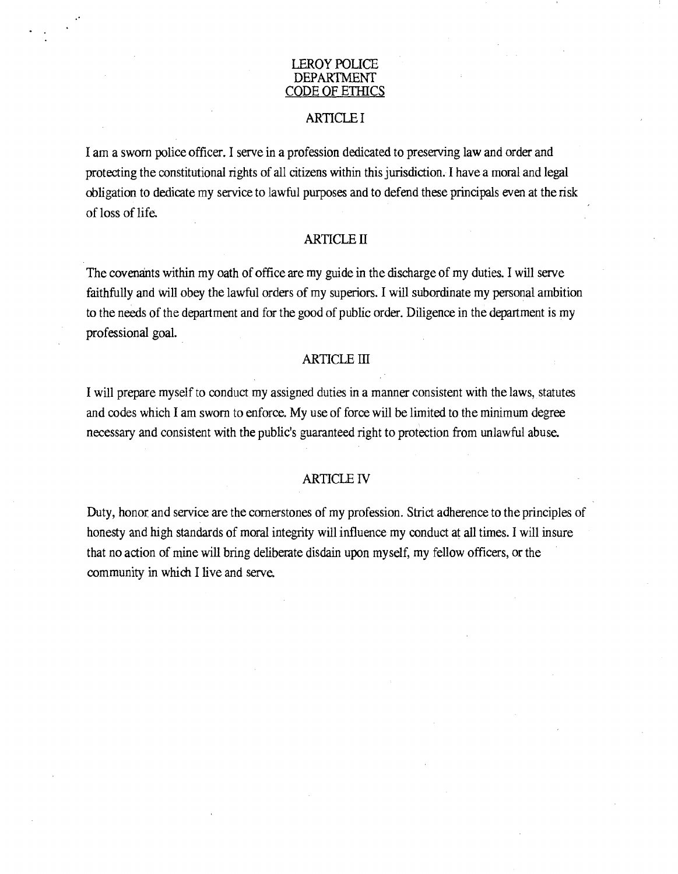#### LEROY POLICE DEPARTMENT CODE OF ETHICS

## ARTICLE I

I am a sworn police officer. I serve in a profession dedicated to preserving law and order and protecting the constitutional rights of all citizens within this jurisdiction. I have a moral and legal obligation to dedicate my service to lawful purposes and to defend these principals even at the risk of loss of life.

## ARTICLE II

The covenants within my oath of office are my guide in the discharge of my duties. I will serve faithfully and will obey the lawful orders of my superiors. I will subordinate my personal ambition to the needs of the department and for the good of public order. Diligence in the department is my professional goal.

## ARTICLE III

I will prepare myself to conduct my assigned duties in a manner consistent with the laws, statutes and codes which I am sworn to enforce. My use of force will be limited to the minimum degree necessary and consistent with the public's guaranteed right to protection from unlawful abuse.

#### ARTICLE IV

Duty, honor, and service are the cornerstones of my profession. Strict adherence to the principles of honesty and high standards of moral integrity will influence my conduct at all times. I will insure that no action of mine will bring deliberate disdain upon myself, my fellow officers, or the community in which I live and serve.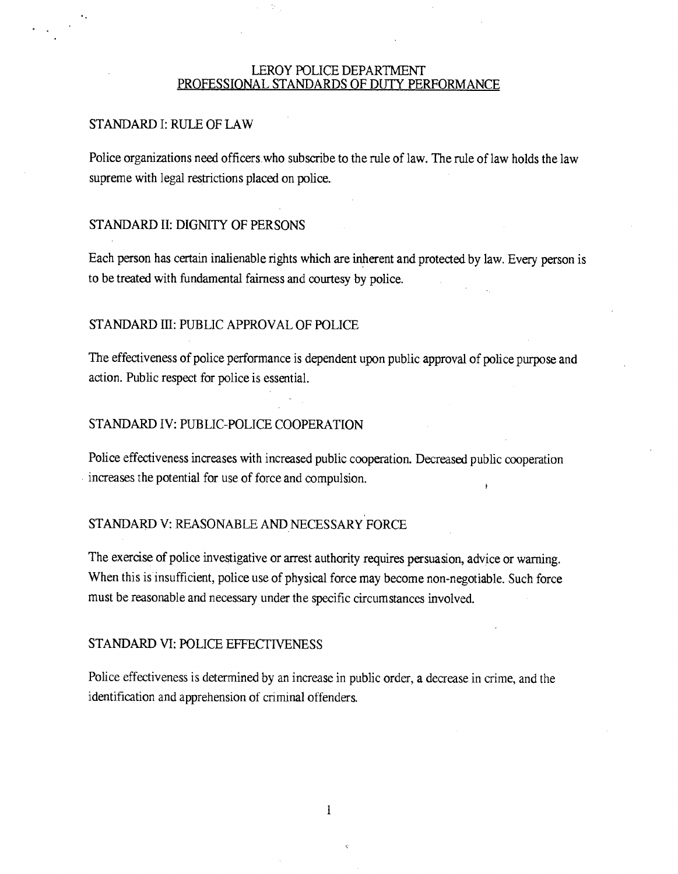#### LEROY POLICE DEPARTMENT PROFESSIONAL STANDARDS OF DUTY PERFORMANCE

## STANDARD I: RULE OF LAW

Police organizations need officers.who subscribe to the rule of law. The rule of law holds the law supreme with legal restrictions placed on police.

## STANDARD II: DIGNITY OF PERSONS

Each person has certain inalienable rights which are inherent and protected by law. Every person is to be treated with fundamental fairness and courtesy by police.

### STANDARD III: PUBLIC APPROVAL OF POLICE

The effectiveness of police performance is dependent upon public approval of police purpose and action. Public respect for police is essential.

## STANDARD IV: PUBLIC-POLICE COOPERATION

Police effectiveness increases with increased public cooperation. Decreased public cooperation increases the potential for use of force and compulsion.

#### STANDARD V: REASONABLE AND NECESSARY FORCE

The exercise of police investigative or arrest authority requires persuasion, advice or warning. When this is insufficient, police use of physical force may become non-negotiable. Such force must be reasonable and necessary under the specific circumstances involved.

## STANDARD VI: POLICE EFFECTIVENESS

Police effectiveness is determined by an increase in public order, a decrease in crime, and the identification and apprehension of criminal offenders.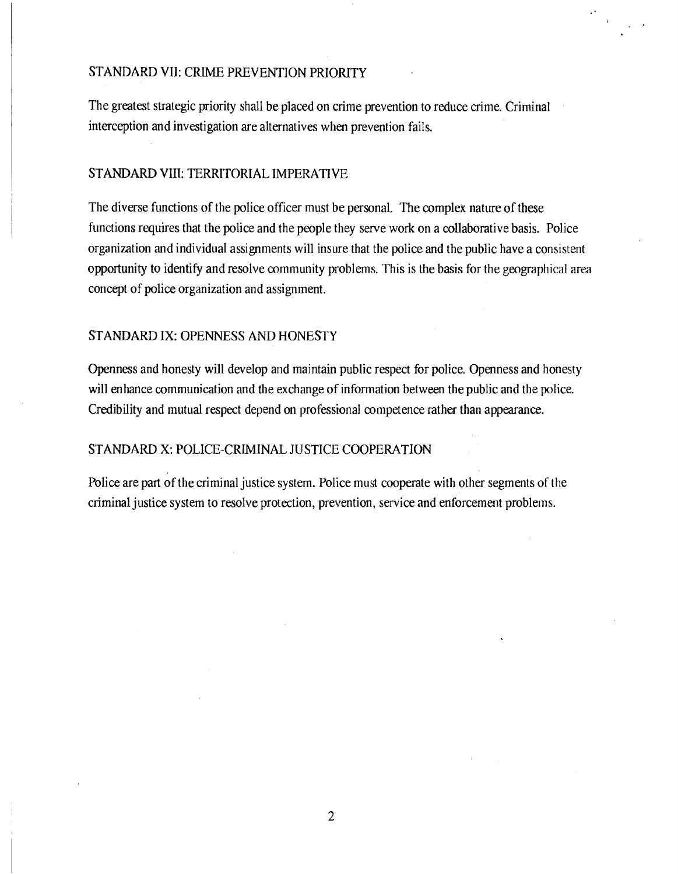## STANDARD VII: CRIME PREVENTION PRIORITY

The greatest strategic priority shall be placed on crime prevention to reduce crime. Criminal interception and investigation are alternatives when prevention fails.

## STANDARD VIII: TERRITORIAL IMPERATIVE

The diverse functions of the police officer must be personal. The complex nature of these functions requires that the police and the people they serve work on a collaborative basis. Police organization and individual assignments will insure that the police and the public have a consistent opportunity to identify and resolve community problems. This is the basis for the geographical area concept of police organization and assignment.

## STANDARD IX: OPENNESS AND HONESTY

Openness and honesty will develop and maintain public respect for police. Openness and honesty will enhance communication and the exchange of information between the public and the police. Credibility and mutual respect depend on professional competence rather than appearance.

## STANDARD X: POLICE-CRIMINAL JUSTICE COOPERATION

Police are part of the criminal justice system. Police must cooperate with other segments of the criminal justice system to resolve protection, prevention, service and enforcement problems.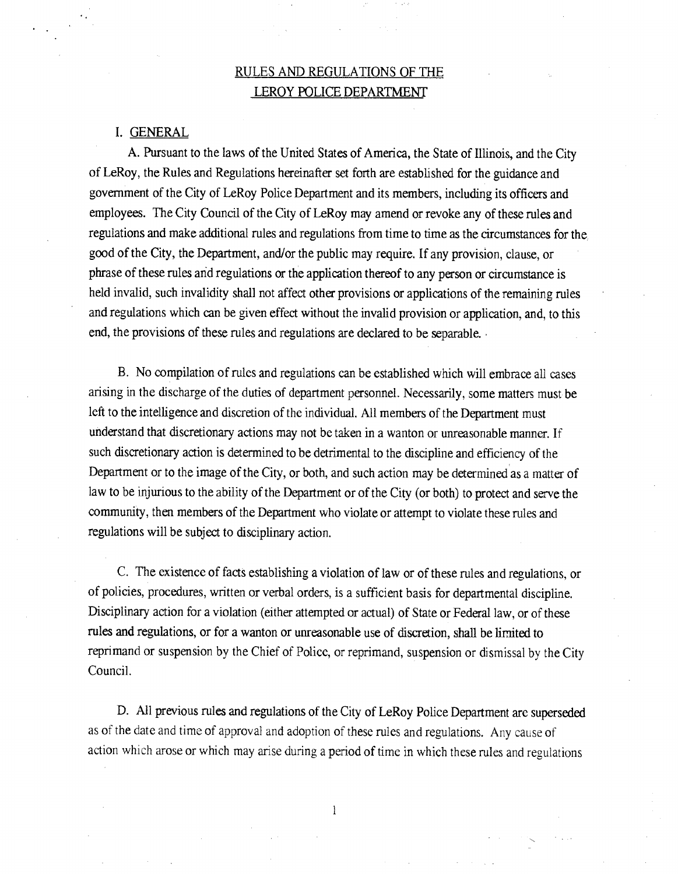## RULES AND REGULATIONS OF THE LEROY POLICE DEPARTMENT

#### I. GENERAL

A. Pursuant to the laws of the United States of America, the State of Illinois, and the City of LeRoy, the Rules and Regulations hereinafter set forth are established for the guidance and government of the City of LeRoy Police Department and its members, including its officers and employees. The City Council of the City of LeRoy may amend or revoke any of these rules and regulations and make additional rules and regulations from time to time as the circumstances for the good of the City, the Department, and/or the public may require. If any provision, clause, or phrase of these rules and regulations or the application thereof to any person or circumstance is held invalid, such invalidity shall not affect other provisions or applications of the remaining rules and regulations which can be given effect without the invalid provision or application, and, to this end, the provisions of these rules and regulations are declared to be separable.

B. No compilation of rules and regulations can be established which will embrace all cases arising in the discharge of the duties of department personnel. Necessarily, some matters must be left to the intelligence and discretion of the individual. All members of the Department must understand that discretionary actions may not be taken in a wanton or unreasonable manner. If such discretionary action is determined to be detrimental to the discipline and efficiency of the Department or to the image of the City, or both, and such action may be determined as a matter of law to be injurious to the ability of the Department or of the City (or both) to protect and serve the community, then members of the Department who violate or attempt to violate these rules and regulations will be subject to disciplinary action.

C. The existence of facts establishing a violation of law or of these rules and regulations, or of policies, procedures, written or verbal orders, is a sufficient basis for departmental discipline. Disciplinary action for a violation (either attempted or actual) of State or Federal law, or of these rules and regulations, or for a wanton or unreasonable use of discretion, shall be limited to reprimand or suspension by the Chief of Police, or reprimand, suspension or dismissal by the City Council.

D. All previous rules and regulations of the City of LeRoy Police Department are superseded as of the date and time of approval and adoption of these rules and regulations. Any cause of action which arose or which may arise during a period of time in which these rules and regulations

1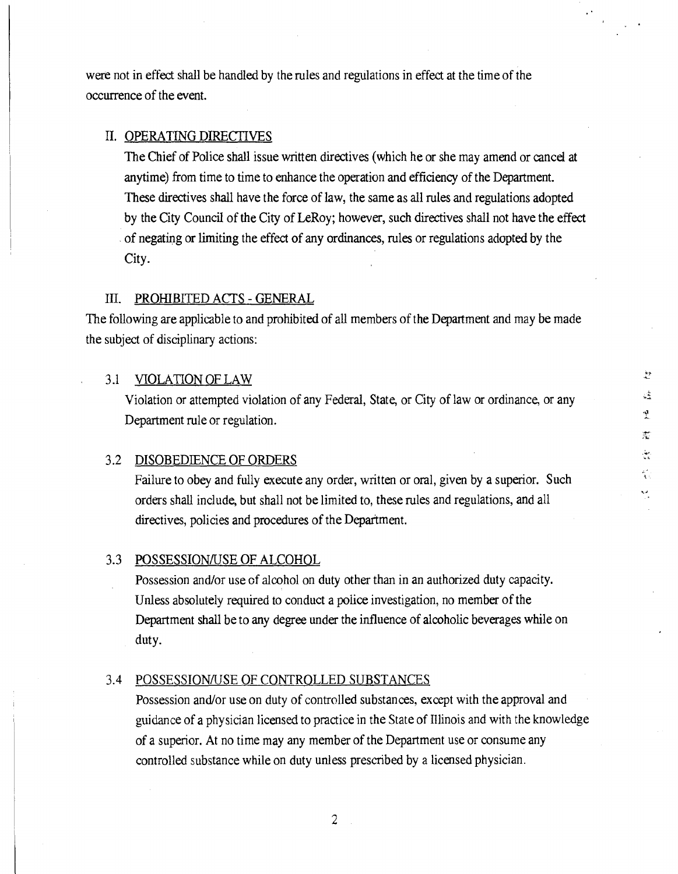were not in effect shall be handled by the rules and regulations in effect at the time of the occurrence of the event.

## II. OPERATING DIRECTIVES

The Chief of Police shall issue written directives (which he or she may amend or cancel at anytime) from time to time to enhance the operation and efficiency of the Department. These directives shall have the force of law, the same as all rules and regulations adopted by the City Council of the City of LeRoy; however, such directives shall not have the effect of negating or limiting the effect of any ordinances, rules or regulations adopted by the City.

### III. PROHIBITED ACTS - GENERAL

The following are applicable to and prohibited of all members of the Department and may be made the subject of disciplinary actions:

# 3.1 VIOLATION OF LAW the state of the state of the state of the state of the state of the state of the state of the state of the state of the state of the state of the state of the state of the state of the state of the st

Violation or attempted violation of any Federal, State, or City of law or ordinance, or any Department rule or regulation.

#### 3.2 DISOBEDIENCE OF ORDERS

Failure to obey and fully execute any order, written or oral, given by a superior. Such orders shall include, but shall not be limited to, these rules and regulations, and all directives, policies and procedures of the Department.

iA

퀫 蘎 رياني.<br>نگانيا ή.

#### 3.3 POSSESSION/USE OF ALCOHOL

Possession and/or use of alcohol on duty other than in an authorized duty capacity. Unless absolutely required to conduct a police investigation, no member of the Department shall be to any degree under the influence of alcoholic beverages while on duty.

#### 3.4 POSSESSION/USE OF CONTROLLED SUBSTANCES

Possession and/or use on duty of controlled substances, except with the approval and guidance of a physician licensed to practice in the State of Illinois and with the knowledge of a superior. At no time may any member of the Department use or consume any controlled substance while on duty unless prescribed by a licensed physician.

 $\overline{2}$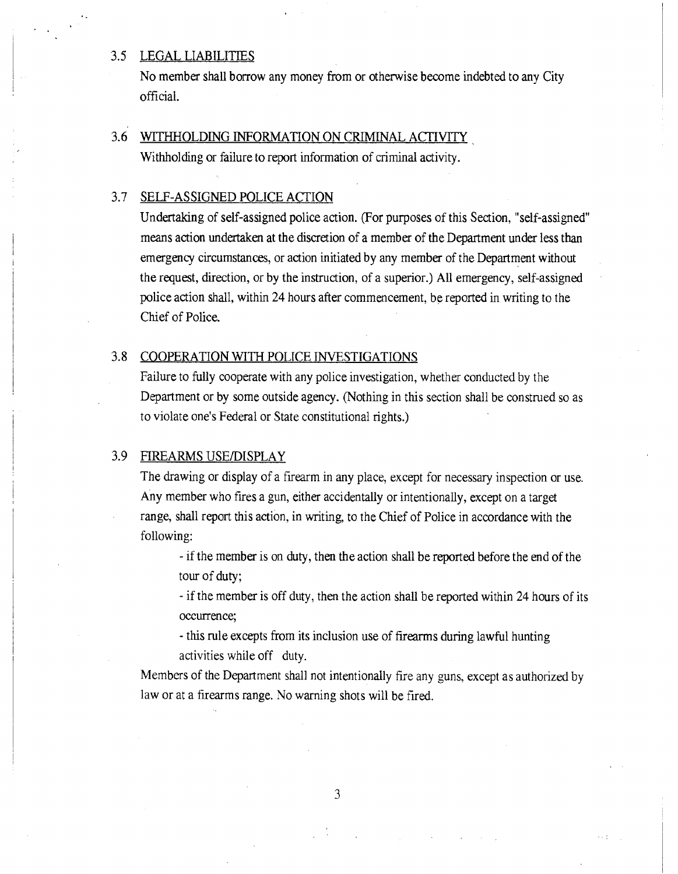## 3.5 LEGAL LIABILITIES

No member shall borrow any money from or otherwise become indebted to any City official.

## 3.6 WITHHOLDING INFORMATION ON CRIMINAL ACTIVITY

Withholding or failure to report information of criminal activity.

## 3.7 SELF-ASSIGNED POLICE ACTION

Undertaking of self-assigned police action. (For purposes of this Section, "self-assigned" means action undertaken at the discretion of a member of the Department under less than emergency circumstances, or action initiated by any member of the Department without the request, direction, or by the instruction, of a superior.) All emergency, self-assigned police action shall, within 24 hours after commencement, be reported in writing to the Chief of Police.

#### 3.8 COOPERATION WITH POLICE INVESTIGATIONS

Failure to fully cooperate with any police investigation, whether conducted by the Department or by some outside agency. (Nothing in this section shall be construed so as to violate one's Federal or State constitutional rights.)

## 3.9 FIREARMS USE/DISPLAY

The drawing or display of a firearm in any place, except for necessary inspection or use. Any member who fires a gun, either accidentally or intentionally, except on a target range, shall report this action, in writing, to the Chief of Police in accordance with the following:

- if the member is on duty, then the action shall be reported before the end of the tour of duty;

- if the member is off duty, then the action shall be reported within 24 hours of its occurrence;

- this rule excepts from its inclusion use of firearms during lawful hunting activities while off duty.

Members of the Department shall not intentionally fire any guns, except as authorized by law or at a firearms range. No warning shots will be fired.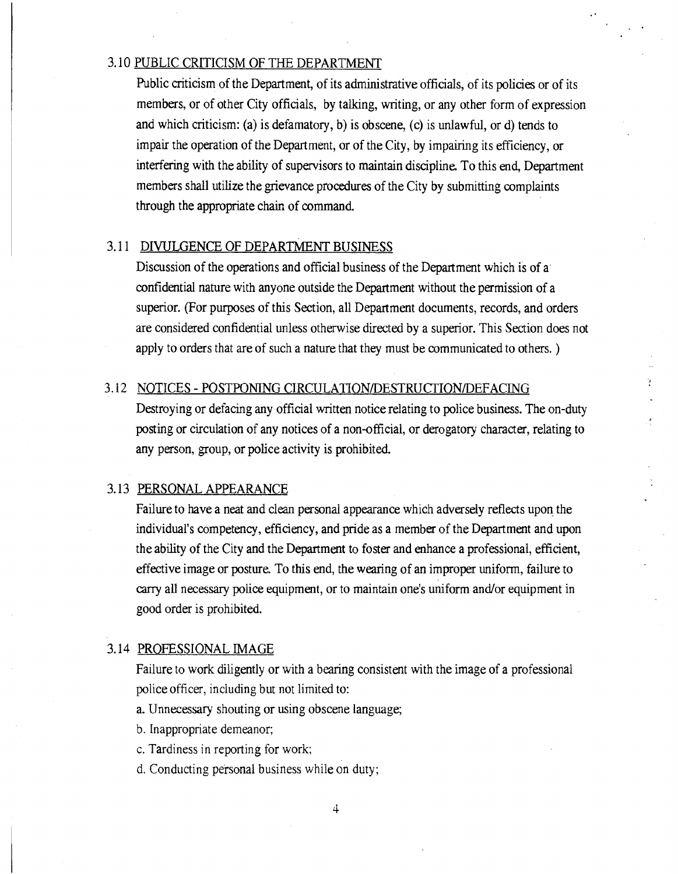## 3. 10 PUBLIC CRITICISM OF THE DEPARTMENT

Public criticism of the Department, of its administrative officials, of its policies or of its members, or of other City officials, by talking, writing, or any other form of expression and which criticism: (a) is defamatory, b) is obscene, (c) is unlawful, or d) tends to impair the operation of the Department, or of the City, by impairing its efficiency, or interfering with the ability of supervisors to maintain discipline. To this end, Department members shall utilize the grievance procedures of the City by submitting complaints through the appropriate chain of command

#### 3.11 DIVULGENCE OF DEPARTMENT BUSINESS

Discussion of the operations and official business of the Department which is of a confidential nature with anyone outside the Department without the permission of a superior. (For purposes of this Section, all Department documents, records, and orders are considered confidential unless otherwise directed by a superior. This Section does not apply to orders that are of such a nature that they must be communicated to others. )

## 3.12 NOTICES - POSTPONING CIRCULATION/DESTRUCTION/DEFACING

Destroying or defacing any official written notice relating to police business. The on-duty posting or circulation of any notices of a non-official, or derogatory character, relating to any person, group, or police activity is prohibited.

## 3.13 PERSONAL APPEARANCE

Failure to have a neat and clean personal appearance which adversely reflects upon the individual's competency, efficiency, and pride as a member of the Department and upon the ability of the City and the Department to foster and enhance a professional, efficient, effective image or posture. To this end, the wearing of an improper uniform, failure to carry all necessary police equipment, or to maintain one's uniform and/or equipment in good order is prohibited.

## 3.14 PROFESSIONAL IMAGE

Failure to work diligently or with a bearing consistent with the image of a professional police officer, including but not limited to:

- a. Unnecessary shouting or using obscene language;
- b. Inappropriate demeanor;
- c. Tardiness in reporting for work;
- d. Conducting personal business while on duty;

4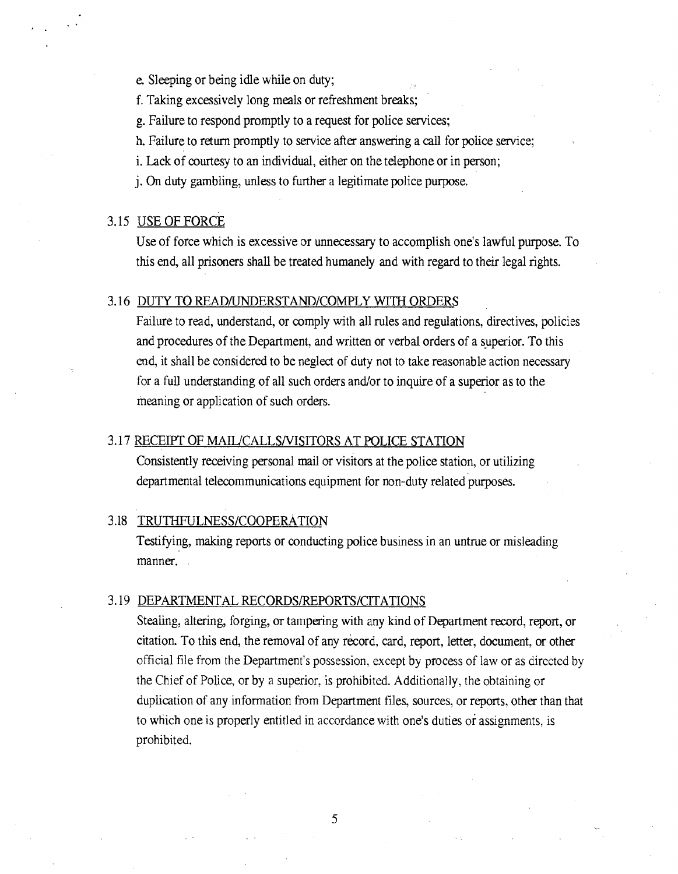- e. Sleeping or being idle while on duty;
- f. Taking excessively long meals or refreshment breaks;
- g. Failure to respond promptly to a request for police services;
- h. Failure to return promptly to service after answering a call for police service;
- i. Lack of courtesy to an individual, either on the telephone or in person;
- j. On duty gambling, unless to further a legitimate police purpose.

## 3.15 USE OF FORCE

Use of force which is excessive or unnecessary to accomplish one's lawful purpose. To this end, all prisoners shall be treated humanely and with regard to their legal rights.

#### 3.16 DUTY TO READ/UNDERSTAND/COMPLY WITH ORDERS

Failure to read, understand, or comply with all rules and regulations, directives, policies and procedures of the Department, and written or verbal orders of a superior. To this end, it shall be considered to be neglect of duty not to take reasonable action necessary for a full understanding of all such orders and/or to inquire of a superior as to the meaning or application of such orders.

#### 3.17 RECEIPT OF MAIL/CALLSNISITORS AT POLICE STATION

Consistently receiving personal mail or visitors at the police station, or utilizing departmental telecommunications equipment for non-duty related purposes.

#### 3.18 TRUTHFULNESS/COOPERATION

Testifying, making reports or conducting police business in an untrue or misleading manner.

## 3.19 DEPARTMENTAL RECORDS/REPORTS/CITATIONS

Stealing, altering, forging, or tampering with any kind of Department record, report, or citation. To this end, the removal of any record, card, report, letter, document, or other official file from the Department's possession, except by process of law or as directed by the Chief of Police, or by a superior, is prohibited. Additionally, the obtaining or duplication of any information from Department files, sources, or reports, other than that to which one is properly entitled in accordance with one's duties or assignments, is prohibited.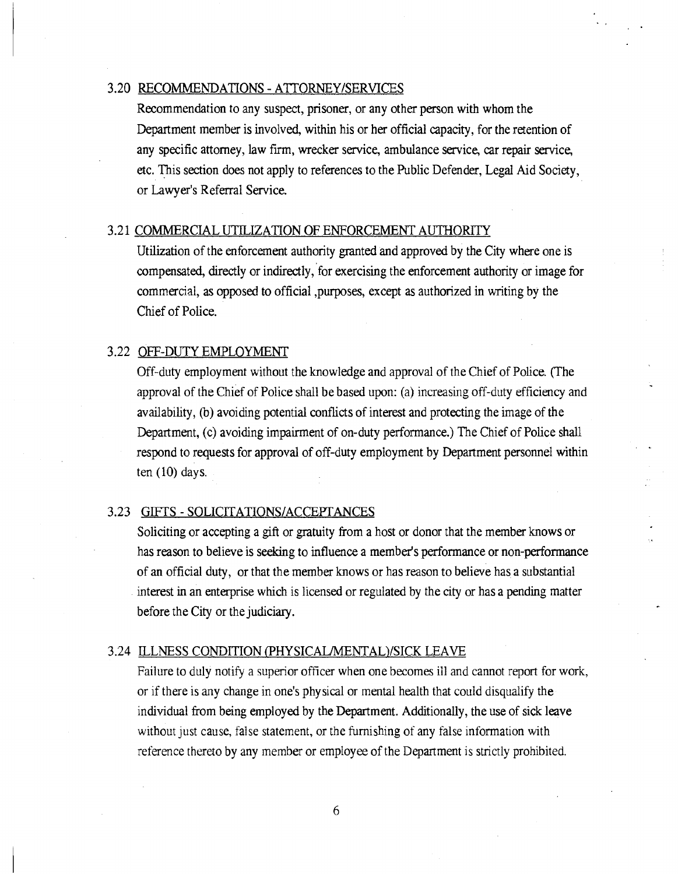#### 3.20 RECOMMENDATIONS - ATTORNEY/SERVICES

Recommendation to any suspect, prisoner, or any other person with whom the Department member is involved, within his or her official capacity, for the retention of any specific attorney, law firm, wrecker service, ambulance service, car repair service, etc. This section does not apply to references to the Public Defender, Legal Aid Society, or Lawyer's Referral Service.

## 3.21 COMMERCIAL UTILIZATION OF ENFORCEMENT AUTHORITY

Utilization of the enforcement authority granted and approved by the City where one is compensated, directly or indirectly, for exercising the enforcement authority or image for commercial, as opposed to official ,purposes, except as authorized in writing by the Chief of Police.

#### 3.22 OFF-DUTY EMPLOYMENT

Off-duty employment without the knowledge and approval of the Chief of Police. (The approval of the Chief of Police shall be based upon: (a) increasing off-duty efficiency and availability, (b) avoiding potential conflicts of interest and protecting the image of the Department, (c) avoiding impairment of on-duty performance.) The Chief of Police shall respond to requests for approval of off-duty employment by Department personnel within ten  $(10)$  days.

## 3.23 GIFTS - SOLICITATIONS/ACCEPTANCES

Soliciting or accepting a gift or gratuity from a host or donor that the member knows or has reason to believe is seeking to influence a member's performance or non-performance of an official duty, or that the member knows or has reason to believe has, a substantial interest in an enterprise which is licensed or regulated by the city or has a pending matter before the City or the judiciary.

## 3.24 ILLNESS CONDITION (PHYSICAL/MENTAL)/SICK LEAVE

Failure to duly notify a superior officer when one becomes ill and cannot report for work, or if there is any change in one's physical or mental health that could disqualify the individual from being employed by the Department. Additionally, the use of sick leave without just cause, false statement, or the furnishing of any false information with reference thereto by any member or employee of the Department is strictly prohibited.

 $6\overline{6}$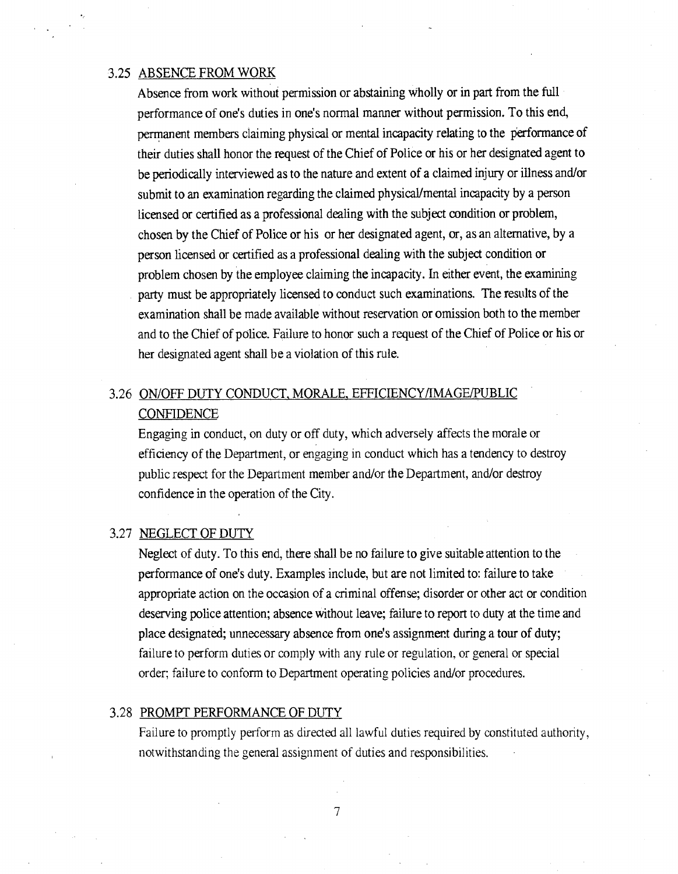#### 3.25 ABSENCE FROM WORK

Absence from work without permission or abstaining wholly or in part from the full performance of one's duties in one's normal manner without permission. To this end, permanent members claiming physical or mental incapacity relating to the performance of their duties shall honor the request of the Chief of Police or his or her designated agent to be periodically interviewed as to the nature and extent of a claimed injury or illness and/or submit to an examination regarding the claimed physical/mental incapacity by a person licensed or certified as a professional dealing with the subject condition or problem, chosen by the Chief of Police or his or her designated agent, or, as an alternative, by a person licensed or certified as a professional dealing with the subject condition or problem chosen by the employee claiming the incapacity. In either event, the examining party must be appropriately licensed to conduct such examinations. The results of the examination shall be made available without reservation or omission both to the member and to the Chief of police. Failure to honor such a request of the Chief of Police or his or her designated agent shall be a violation of this rule.

## 3.26 ON/OFF DUTY CONDUCT MORALE EFFICIENCY/IMAGE/PUBLIC **CONFIDENCE**

Engaging in conduct, on duty or off duty, which adversely affects the morale or efficiency of the Department, or engaging in conduct which has a tendency to destroy public respect for the Department member and/or the Department, and/or destroy confidence in the operation of the City.

#### 3.27 NEGLECT OF DUTY

Neglect of duty. To this end, there shall be no failure to give suitable attention to the performance of one's duty. Examples include, but are not limited to: failure to take appropriate action on the occasion of a criminal offense; disorder or other act or condition deserving police attention; absence without leave; failure to report to duty at the time and place designated; unnecessary absence from one's assignment during a tour of duty; failure to perform duties or comply with any rule or regulation, or general or special order; failure to conform to Department operating policies and/or procedures.

#### 3.28 PROMPT PERFORMANCE OF DUTY

Failure to promptly perform as directed all lawful duties required by constituted authority, notwithstanding the general assignment of duties and responsibilities.

7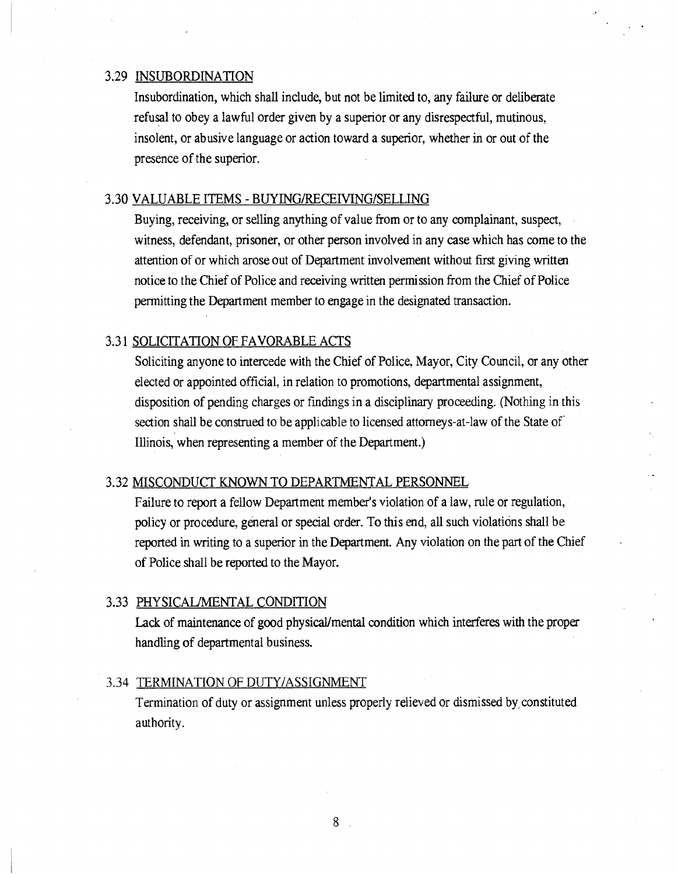## 3.29 INSUBORDINATION

Insubordination, which shall include, but not be limited to, any failure or deliberate refusal to obey a lawful order given by a superior or any disrespectful, mutinous, insolent, or abusive language or action toward a superior, whether in or out of the presence of the superior.

#### 3.30 VALUABLE ITEMS - BUYING/RECEIVING/SELLING

Buying, receiving, or selling anything of value from or to any complainant, suspect, witness, defendant, prisoner, or other person involved in any case which has come to the attention of or which arose out of Department involvement without first giving written notice to the Chief of Police and receiving written permission from the Chief of Police permitting the Department member to engage in the designated transaction.

## 3.31 SOLICITATION OF FAVORABLE ACTS

Soliciting anyone to intercede with the Chief of Police, Mayor, City Council, or any other elected or appointed official, in relation to promotions, departmental assignment, disposition of pending charges or findings in a disciplinary proceeding. (Nothing in this section shall be construed to be applicable to licensed attorneys-at-law of the State of Illinois, when representing a member of the Department.)

### 3.32 MISCONDUCT KNOWN TO DEPARTMENTAL PERSONNEL

Failure to report a fellow Department member's violation of a law, rule or regulation, policy or procedure, general or special order. To this end, all such violations shall be reported in writing to a superior in the Department. Any violation on the part of the Chief of Police shall be reported to the Mayor.

#### 3.33 PHYSICAUMENTAL CONDITION

Lack of maintenance of good physical/mental condition which interferes with the proper handling of departmental business.

#### 3.34 TERMINATION OF DUTY/ASSIGNMENT

Termination of duty or assignment unless properly relieved or dismissed by, constituted authority.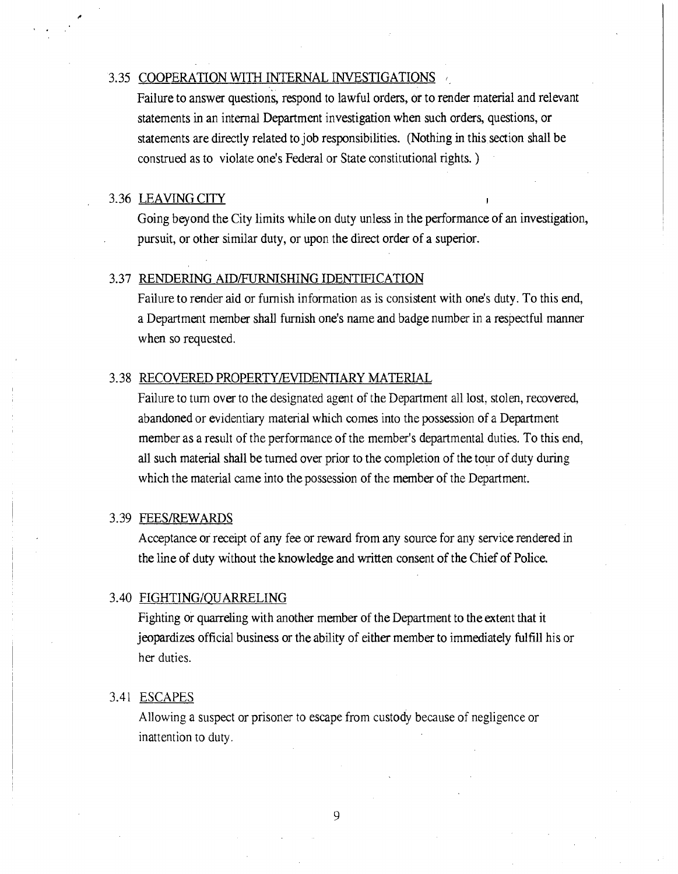## 3.35 COOPERATION WITH INTERNAL INVESTIGATIONS

Failure to answer questions, respond to lawful orders, or to render material and relevant statements in an internal Department investigation when such orders, questions, or statements are directly related to job responsibilities. (Nothing in this section shall be construed as to violate one's Federal or State constitutional rights. )

#### 3.36 LEAVING CITY

Going beyond the City limits while on duty unless in the performance of an investigation, pursuit, or other similar duty, or upon the direct order of a superior.

#### 3.37 RENDERING AID/FURNISHING IDENTIFICATION

Failure to render aid or furnish information as is consistent with one's duty. To this end, a Department member shall furnish one's name and badge number in a respectful manner when so requested.

## 3.38 RECOVERED PROPERTY/EVIDENTIARY MATERIAL

Failure to turn over to the designated agent of the Department all lost, stolen, recovered, abandoned or evidentiary material which comes into the possession of a Department member as a result of the performance of the member's departmental duties. To this end, all such material shall be turned over prior to the completion of the tour of duty during which the material came into the possession of the member of the Department.

## 3.39 FEES/REWARDS

Acceptance or receipt of any fee or reward from any source for any service rendered in the line of duty without the knowledge and written consent of the Chief of Police.

#### 3.40 FIGHTING/QUARRELING

Fighting or quarreling with another member of the Department to the extent that it jeopardizes official business or the ability of either member to immediately fulfill his or her duties.

#### 3.41 ESCAPES

Allowing a suspect or prisoner to escape from custody because of negligence or inattention to duty.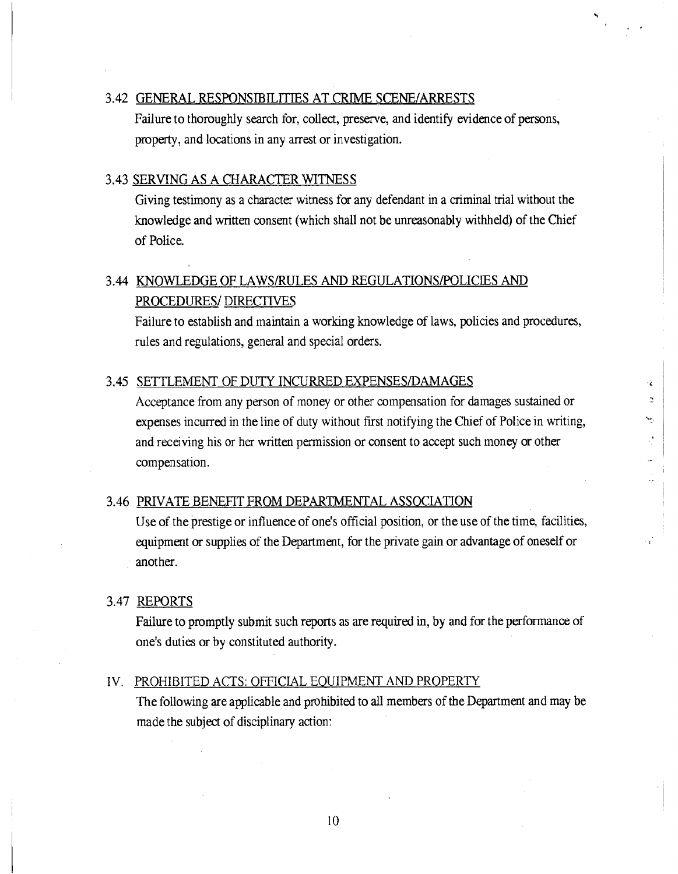## 3.42 GENERAL RESPONSIBILITIES AT CRIME SCENE/ARRESTS

Failure to thoroughly search for, collect, preserve, and identify evidence of persons, property, and locations in any arrest or investigation.

#### 3.43 SERVING AS A CHARACTER WITNESS

Giving testimony as a character witness for any defendant in a criminal trial without the knowledge and written consent (which shall not be unreasonably withheld) of the Chief of Police.

# 3.44 KNOWLEDGE OF LAWS/RULES AND REGULATIONS/POLICIES AND PROCEDURES/ DIRECTIVES

Failure to establish and maintain a working knowledge of laws, policies and procedures, rules and regulations, general and special orders.

#### 3.45 SETTLEMENT OF DUTY INCURRED EXPENSES/DAMAGES

Acceptance from any person of money or other compensation for damages sustained or expenses incurred in the line of duty without first notifying the Chief of Police in writing, and receiving his or her written permission or consent to accept such money or other compensation.

֏.  $\mathcal{D}$  $\sim$ 

## 3.46 PRIVATE BENEFIT FROM DEPARTMENTAL ASSOCIATION

Use of the prestige or influence of one's official position, or the use of the time, facilities, equipment or supplies of the Department, for the private gain or advantage of oneself or another.

## 3.47 REPORTS

Failure to promptly submit such reports as are required in, by and for the performance of one's duties or by constituted authority.

#### IV. PROHIBITED ACTS: OFFICIAL EQUIPMENT AND PROPERTY

The following are applicable and prohibited to all members of the Department and may be made the subject of disciplinary action: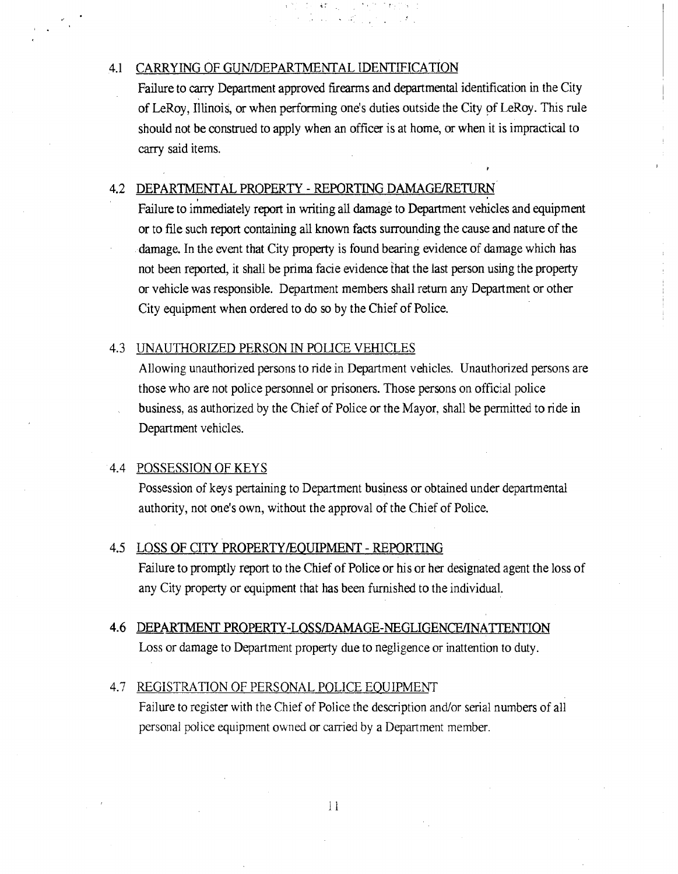## 4.1 CARRYING OF GUN/DEPARTMENTAL IDENTIFICATION

Failure to carry Department approved firearms and departmental identification in the City of LeRoy, Illinois, or when performing one's duties outside the City of LeRoy. This rule should not be construed to apply when an officer is at home, or when it is impractical to carry said items.

## 4.2 DEPARTMENTAL PROPERTY - REPORTING DAMAGE/RETURN

Failure to immediately report in writing all damage to Department vehicles and equipment or to file such report containing all known facts surrounding the cause and nature of the damage. In the event that City property is found bearing evidence of damage which has not been reported, it shall be prima facie evidence that the last person using the property or vehicle was responsible. Department members shall return any Department or other City equipment when ordered to do so by the Chief of Police.

#### 4.3 UNAUTHORIZED PERSON IN POLICE VEHICLES

Allowing unauthorized persons to ride in Department vehicles. Unauthorized persons are those who are not police personnel or prisoners. Those persons on official police business, as authorized by the Chief of Police or the Mayor, shall be permitted to ride in Department vehicles.

#### 4.4 POSSESSION OF KEYS

Possession of keys pertaining to Department business or obtained under departmental authority, not one's own, without the approval of the Chief of Police.

#### 4.5 LOSS OF CITY PROPERTY/EQUIPMENT - REPORTING

Failure to promptly report to the Chief of Police or his or her designated agent the loss of any City property or equipment that has been furnished to the individual.

#### 4.6 DEPARTMENT PROPERTY-LOSS/DAMAGE-NEGLIGENCE/INATTENTION

Loss or damage to Department property due to negligence or inattention to duty.

#### 4.7 REGISTRATION OF PERSONAL POLICE EQUIPMENT

Failure to register with the Chief of Police the description and/or serial numbers of all personal police equipment owned or carried by a Department member.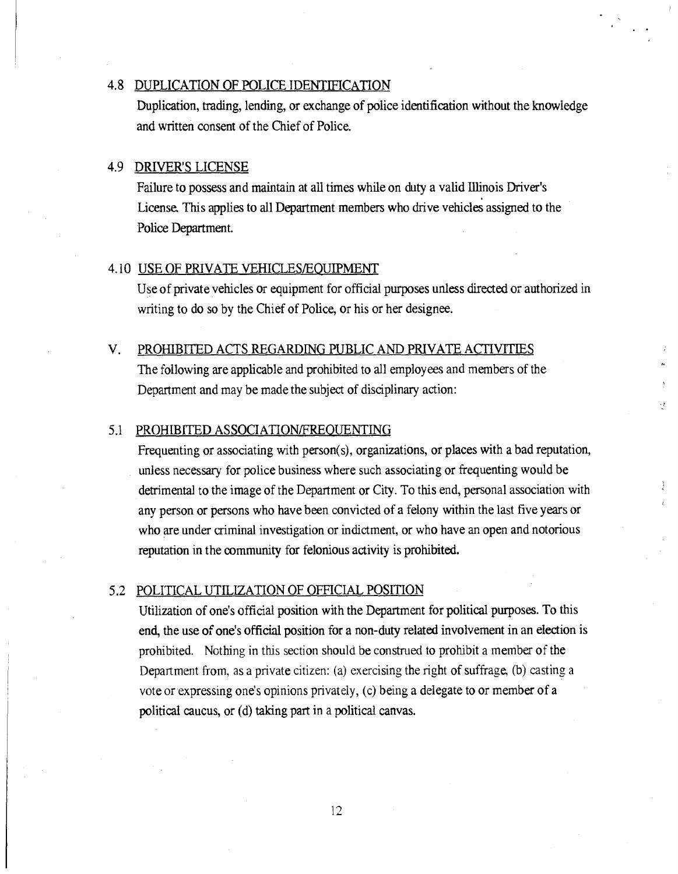#### 4.8 DUPLICATION OF POLICE IDENTIFICATION

Duplication, trading, lending, or exchange of police identification without the knowledge and written consent of the Chief of Police.

## 4.9 DRIVER'S LICENSE

Failure to possess and maintain at all times while on duty a valid Illinois Driver's License. This applies to all Department members who drive vehicles assigned to the Police Department.

## 4.10 USE OF PRIVATE VEHICLES/EOUIPMENT

Use of private vehicles or equipment for official purposes unless directed or authorized in writing to do so by the Chief of Police, or his or her designee.

## V. PROHIBITED ACTS REGARDING PUBLIC AND PRIVATE ACTIVITIES

The following are applicable and prohibited to all employees and members of the Department and may be made the subject of disciplinary action:

#### 5.1 PROHIBITED ASSOCIATION/FREOUENTING

Frequenting or associating with person(s), organizations, or places with a bad reputation, unless necessary for police business where such associating or frequenting would be detrimental to the image of the Department or City. To this end, personal association with any person or persons who have been convicted of a felony within the last five years or who are under criminal investigation or indictment, or who have an open and notorious reputation in the community for felonious activity is prohibited.

÷ř,

## 5.2 POLITICAL UTILIZATION OF OFFICIAL POSITION

Utilization of one's official position with the Department for political purposes. To this end, the use of one's official position for a non-duty related involvement in an election is prohibited. Nothing in this section should be construed to prohibit a member of the Department from, as a private citizen: (a) exercising the right of suffrage, (b) casting a vote or expressing one's opinions privately, (c) being a delegate to or member of a political caucus, or (d) taking part in a political canvas.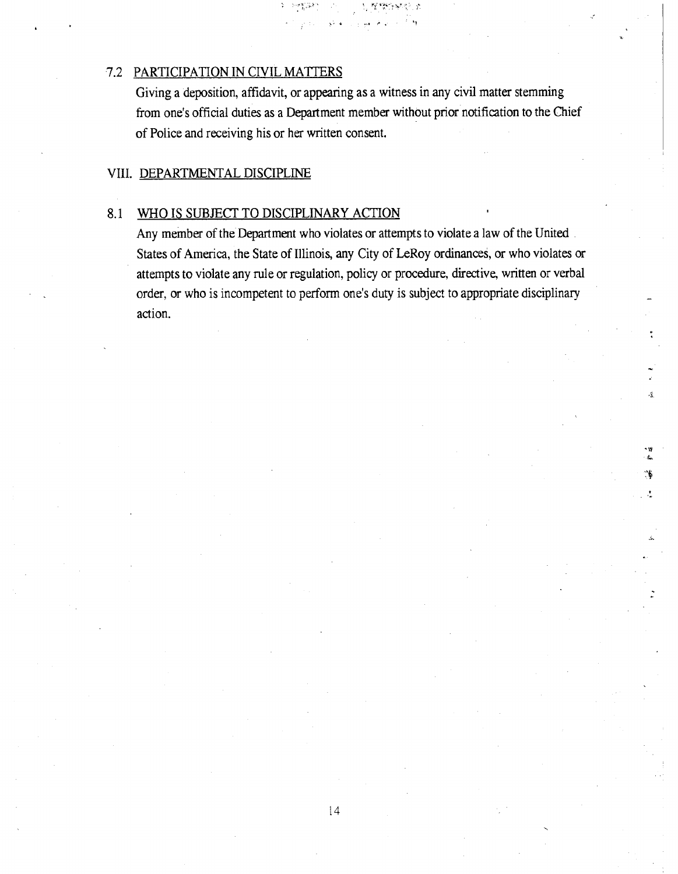## 7.2 PARTICIPATION IN CIVIL MATTERS

Giving a deposition, affidavit, or appearing as a witness in any civil matter stemming from one's official duties as a Department member without prior notification to the Chief of Police and receiving his or her written consent.

L

## VIII. DEPARTMENTAL DISCIPLINE

#### 8.1 WHO IS SUBJECT TO DISCIPLINARY ACTION

Any member of the Department who violates or attempts to violate a law of the United States of America, the State of Illinois, any City of LeRoy ordinances, or who violates or attempts to violate any rule or regulation, policy or procedure, directive, written or verbal order, or who is incompetent to perform one's duty is subject to appropriate disciplinary action.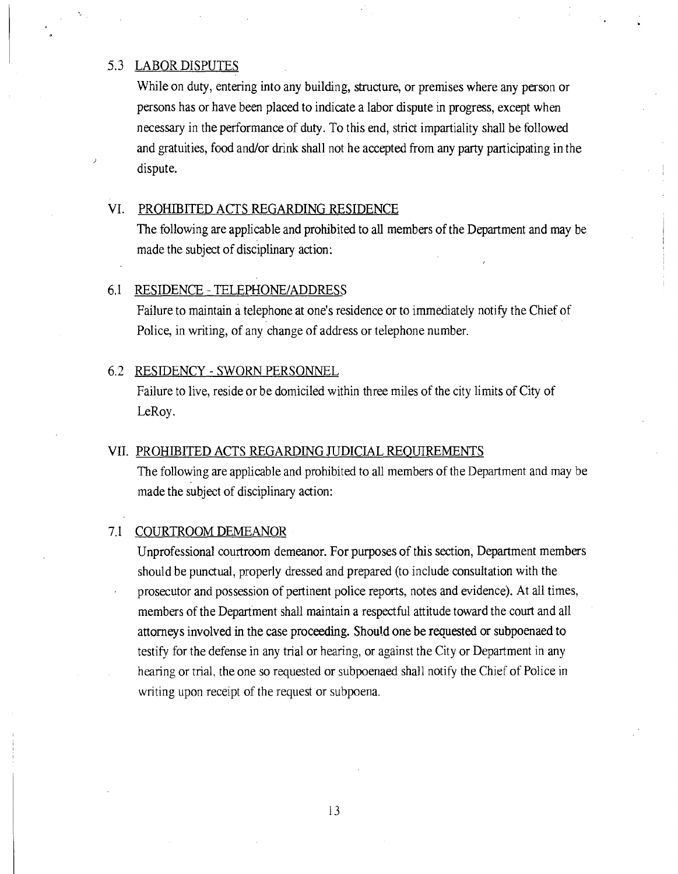### 5.3 LABOR DISPUTES

While on duty, entering into any building, structure, or premises where any person or persons has or have been placed to indicate a labor dispute in progress, except when necessary in the performance of duty. To this end, strict impartiality shall be followed and gratuities, food and/or drink shall not he accepted from any party participating in the dispute.

## VI. PROHIBITED ACTS REGARDING RESIDENCE

The following are applicable and prohibited to all members of the Department and may be made the subject of disciplinary action:

#### 6.1 RESIDENCE - TELEPHONE/ADDRESS

Failure to maintain a telephone at one's residence or to immediately notify the Chief of Police, in writing, of any change of address or telephone number.

#### 6.2 RESIDENCY - SWORN PERSONNEL

Failure to live, reside or be domiciled within three miles of the city limits of City of LeRoy.

#### VII. PROHIBITED ACTS REGARDING JUDICIAL REQUIREMENTS

The following are applicable and prohibited to all members of the Department and may be made the subject of disciplinary action:

#### 7.1 COURTROOM DEMEANOR

Unprofessional courtroom demeanor. For purposes of this section, Department members should be punctual, properly dressed and prepared (to include consultation with the prosecutor and possession of pertinent police reports, notes and evidence). At all times, members of the Department shall maintain a respectful attitude toward the court and all attorneys involved in the case proceeding. Should one be requested or subpoenaed to testify for the defense in any trial or hearing, or against the City or Department in any hearing or trial, the one so requested or subpoenaed shall notify the Chief of Police in writing upon receipt of the request or subpoena.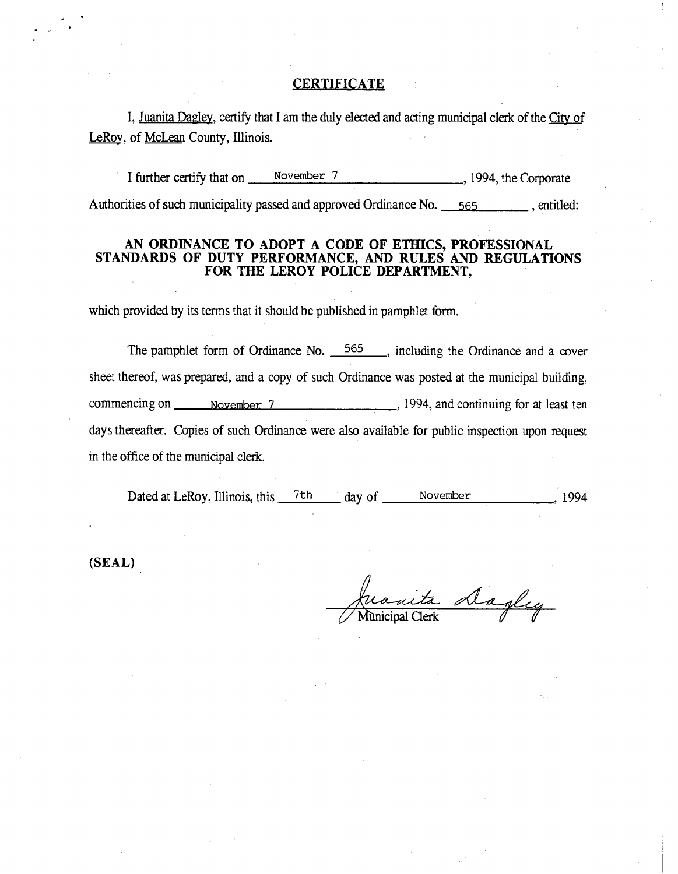#### **CERTIFICATE**

I, Juanita Dagley, certify that I am the duly elected and acting municipal clerk of the City of LeRoy, of McLean County, Illinois.

I further certify that on November 7 , 1994, the Corporate Authorities of such municipality passed and approved Ordinance No. 565 , entitled:

## AN ORDINANCE TO ADOPT A CODE OF ETHICS, PROFESSIONAL STANDARDS OF DUTY PERFORMANCE, AND RULES AND REGULATIONS FOR THE LEROY POLICE DEPARTMENT,

which provided by its terms that it should be published in pamphlet form.

The pamphlet form of Ordinance No. 565, including the Ordinance and a cover sheet thereof, was prepared, and a copy of such Ordinance was posted at the municipal building, commencing on November 7 , 1994, and continuing for at least ten days thereafter. Copies of such Ordinance were also available for public inspection upon request in the office of the municipal clerk.

Dated at LeRoy, Illinois, this 7th day of November 1994

(SEAL)

Juanita Dagley